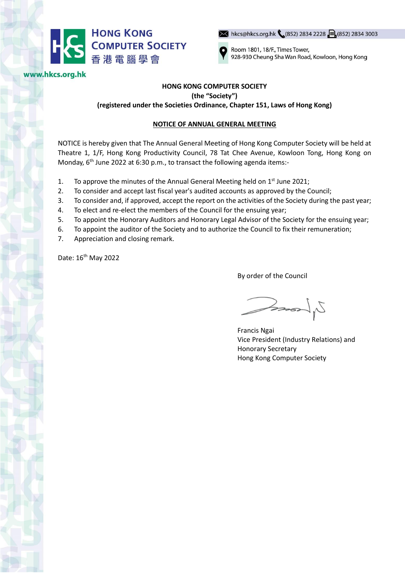

www.hkcs.org.hk

→ hkcs@hkcs.org.hk (852) 2834 2228 = (852) 2834 3003



Room 1801, 18/F., Times Tower, 928-930 Cheung Sha Wan Road, Kowloon, Hong Kong

## **HONG KONG COMPUTER SOCIETY (the "Society") (registered under the Societies Ordinance, Chapter 151, Laws of Hong Kong)**

## **NOTICE OF ANNUAL GENERAL MEETING**

NOTICE is hereby given that The Annual General Meeting of Hong Kong Computer Society will be held at Theatre 1, 1/F, Hong Kong Productivity Council, 78 Tat Chee Avenue, Kowloon Tong, Hong Kong on Monday, 6<sup>th</sup> June 2022 at 6:30 p.m., to transact the following agenda items:-

- 1. To approve the minutes of the Annual General Meeting held on  $1<sup>st</sup>$  June 2021;
- 2. To consider and accept last fiscal year's audited accounts as approved by the Council;
- 3. To consider and, if approved, accept the report on the activities of the Society during the past year;
- 4. To elect and re-elect the members of the Council for the ensuing year;
- 5. To appoint the Honorary Auditors and Honorary Legal Advisor of the Society for the ensuing year;
- 6. To appoint the auditor of the Society and to authorize the Council to fix their remuneration;
- 7. Appreciation and closing remark.

Date: 16<sup>th</sup> May 2022

By order of the Council

 $2\pi$ 

Francis Ngai Vice President (Industry Relations) and Honorary Secretary Hong Kong Computer Society